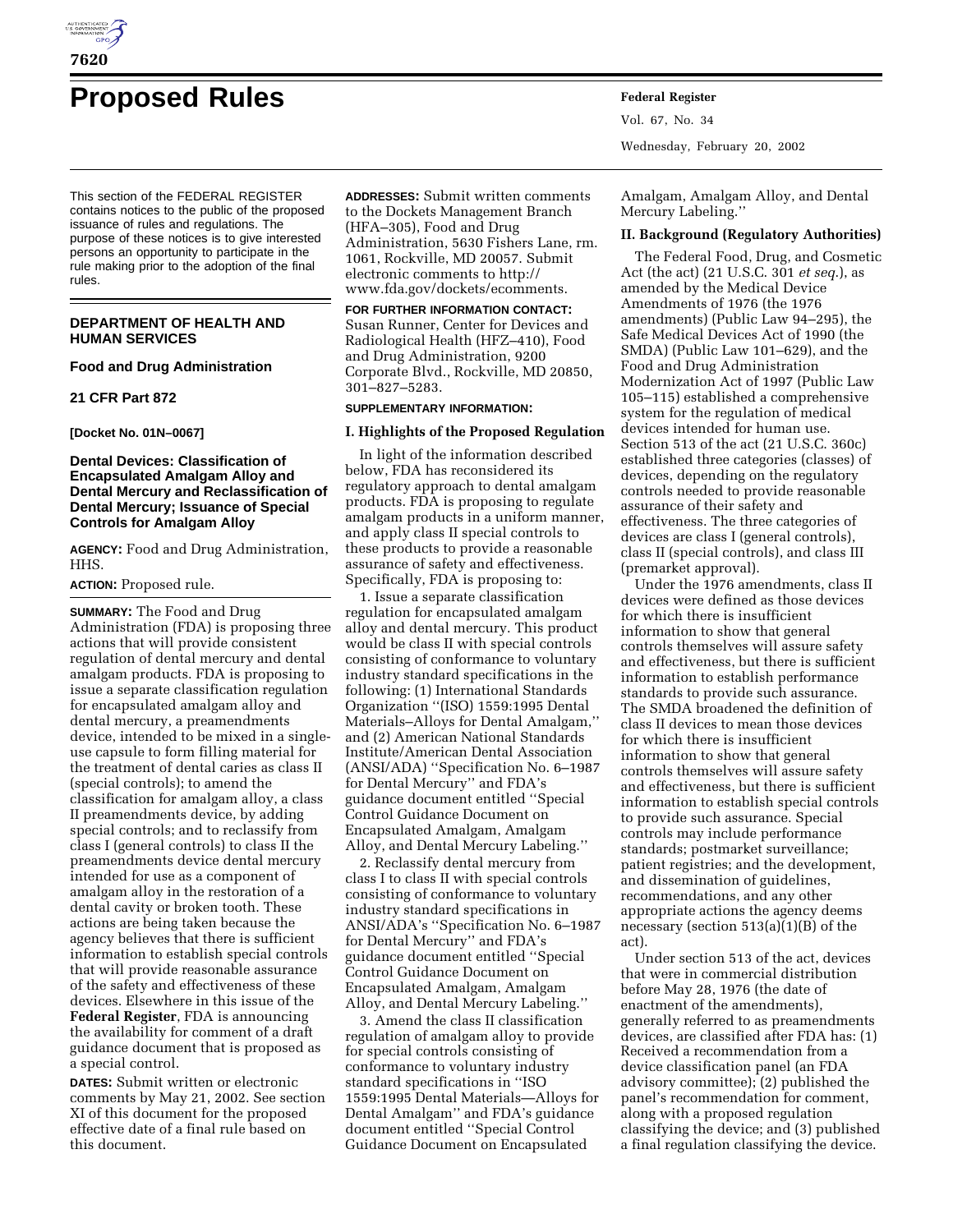

# **Proposed Rules Federal Register**

This section of the FEDERAL REGISTER contains notices to the public of the proposed issuance of rules and regulations. The purpose of these notices is to give interested persons an opportunity to participate in the rule making prior to the adoption of the final rules.

# **DEPARTMENT OF HEALTH AND HUMAN SERVICES**

## **Food and Drug Administration**

## **21 CFR Part 872**

**[Docket No. 01N–0067]**

# **Dental Devices: Classification of Encapsulated Amalgam Alloy and Dental Mercury and Reclassification of Dental Mercury; Issuance of Special Controls for Amalgam Alloy**

**AGENCY:** Food and Drug Administration, HHS.

## **ACTION:** Proposed rule.

**SUMMARY:** The Food and Drug Administration (FDA) is proposing three actions that will provide consistent regulation of dental mercury and dental amalgam products. FDA is proposing to issue a separate classification regulation for encapsulated amalgam alloy and dental mercury, a preamendments device, intended to be mixed in a singleuse capsule to form filling material for the treatment of dental caries as class II (special controls); to amend the classification for amalgam alloy, a class II preamendments device, by adding special controls; and to reclassify from class I (general controls) to class II the preamendments device dental mercury intended for use as a component of amalgam alloy in the restoration of a dental cavity or broken tooth. These actions are being taken because the agency believes that there is sufficient information to establish special controls that will provide reasonable assurance of the safety and effectiveness of these devices. Elsewhere in this issue of the **Federal Register**, FDA is announcing the availability for comment of a draft guidance document that is proposed as a special control.

**DATES:** Submit written or electronic comments by May 21, 2002. See section XI of this document for the proposed effective date of a final rule based on this document.

**ADDRESSES:** Submit written comments to the Dockets Management Branch (HFA–305), Food and Drug Administration, 5630 Fishers Lane, rm. 1061, Rockville, MD 20057. Submit electronic comments to http:// www.fda.gov/dockets/ecomments.

**FOR FURTHER INFORMATION CONTACT:** Susan Runner, Center for Devices and Radiological Health (HFZ–410), Food and Drug Administration, 9200 Corporate Blvd., Rockville, MD 20850, 301–827–5283.

# **SUPPLEMENTARY INFORMATION:**

## **I. Highlights of the Proposed Regulation**

In light of the information described below, FDA has reconsidered its regulatory approach to dental amalgam products. FDA is proposing to regulate amalgam products in a uniform manner, and apply class II special controls to these products to provide a reasonable assurance of safety and effectiveness. Specifically, FDA is proposing to:

1. Issue a separate classification regulation for encapsulated amalgam alloy and dental mercury. This product would be class II with special controls consisting of conformance to voluntary industry standard specifications in the following: (1) International Standards Organization ''(ISO) 1559:1995 Dental Materials–Alloys for Dental Amalgam,'' and (2) American National Standards Institute/American Dental Association (ANSI/ADA) ''Specification No. 6–1987 for Dental Mercury'' and FDA's guidance document entitled ''Special Control Guidance Document on Encapsulated Amalgam, Amalgam Alloy, and Dental Mercury Labeling.''

2. Reclassify dental mercury from class I to class II with special controls consisting of conformance to voluntary industry standard specifications in ANSI/ADA's ''Specification No. 6–1987 for Dental Mercury'' and FDA's guidance document entitled ''Special Control Guidance Document on Encapsulated Amalgam, Amalgam Alloy, and Dental Mercury Labeling.''

3. Amend the class II classification regulation of amalgam alloy to provide for special controls consisting of conformance to voluntary industry standard specifications in ''ISO 1559:1995 Dental Materials—Alloys for Dental Amalgam'' and FDA's guidance document entitled ''Special Control Guidance Document on Encapsulated

Vol. 67, No. 34 Wednesday, February 20, 2002

Amalgam, Amalgam Alloy, and Dental Mercury Labeling.''

## **II. Background (Regulatory Authorities)**

The Federal Food, Drug, and Cosmetic Act (the act) (21 U.S.C. 301 *et seq*.), as amended by the Medical Device Amendments of 1976 (the 1976 amendments) (Public Law 94–295), the Safe Medical Devices Act of 1990 (the SMDA) (Public Law 101–629), and the Food and Drug Administration Modernization Act of 1997 (Public Law 105–115) established a comprehensive system for the regulation of medical devices intended for human use. Section 513 of the act (21 U.S.C. 360c) established three categories (classes) of devices, depending on the regulatory controls needed to provide reasonable assurance of their safety and effectiveness. The three categories of devices are class I (general controls), class II (special controls), and class III (premarket approval).

Under the 1976 amendments, class II devices were defined as those devices for which there is insufficient information to show that general controls themselves will assure safety and effectiveness, but there is sufficient information to establish performance standards to provide such assurance. The SMDA broadened the definition of class II devices to mean those devices for which there is insufficient information to show that general controls themselves will assure safety and effectiveness, but there is sufficient information to establish special controls to provide such assurance. Special controls may include performance standards; postmarket surveillance; patient registries; and the development, and dissemination of guidelines, recommendations, and any other appropriate actions the agency deems necessary (section 513(a)(1)(B) of the act).

Under section 513 of the act, devices that were in commercial distribution before May 28, 1976 (the date of enactment of the amendments), generally referred to as preamendments devices, are classified after FDA has: (1) Received a recommendation from a device classification panel (an FDA advisory committee); (2) published the panel's recommendation for comment, along with a proposed regulation classifying the device; and (3) published a final regulation classifying the device.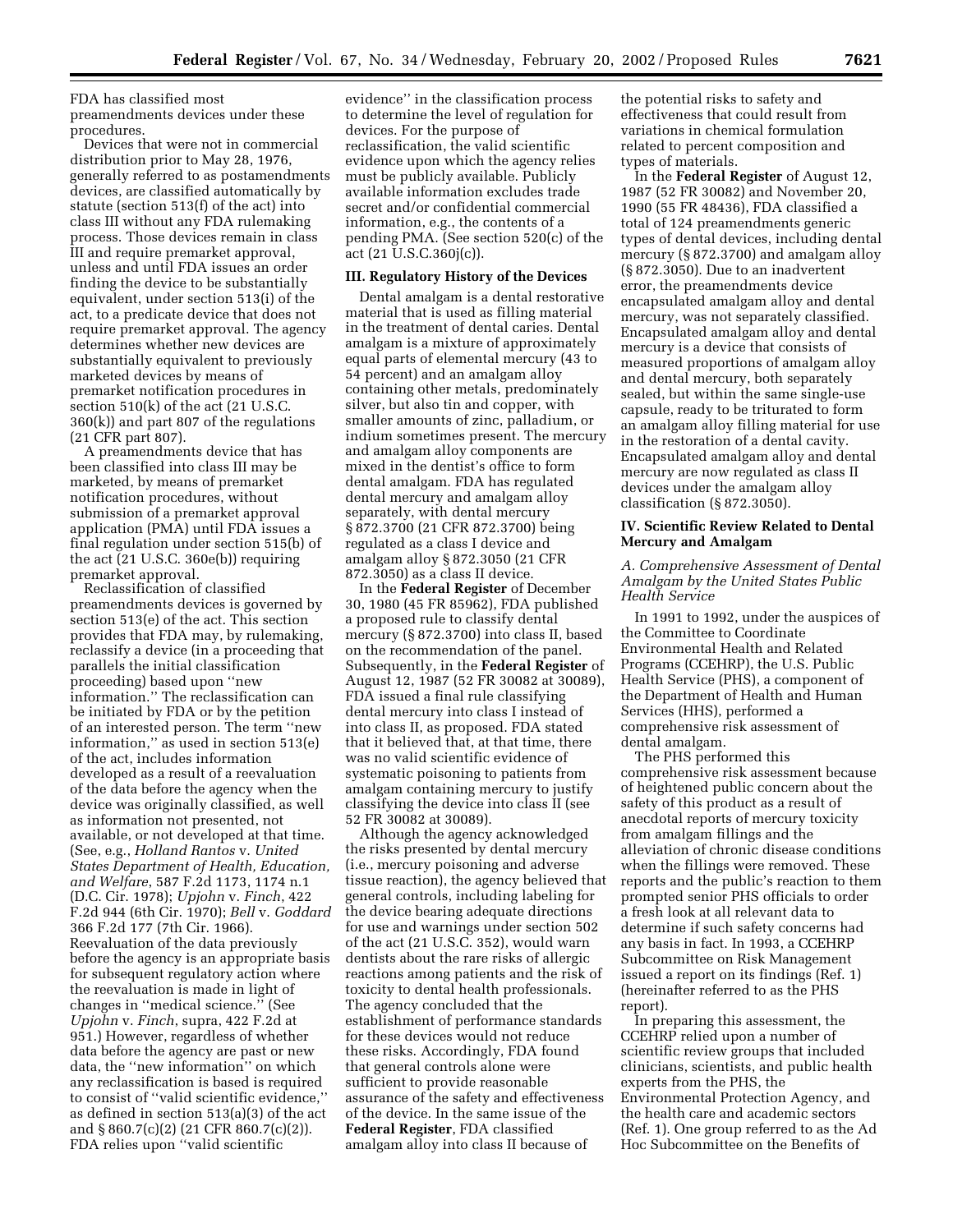FDA has classified most

preamendments devices under these procedures.

Devices that were not in commercial distribution prior to May 28, 1976, generally referred to as postamendments devices, are classified automatically by statute (section 513(f) of the act) into class III without any FDA rulemaking process. Those devices remain in class III and require premarket approval, unless and until FDA issues an order finding the device to be substantially equivalent, under section 513(i) of the act, to a predicate device that does not require premarket approval. The agency determines whether new devices are substantially equivalent to previously marketed devices by means of premarket notification procedures in section 510(k) of the act (21 U.S.C. 360(k)) and part 807 of the regulations (21 CFR part 807).

A preamendments device that has been classified into class III may be marketed, by means of premarket notification procedures, without submission of a premarket approval application (PMA) until FDA issues a final regulation under section 515(b) of the act  $(21 \text{ U.S.C. } 360e(b))$  requiring premarket approval.

Reclassification of classified preamendments devices is governed by section 513(e) of the act. This section provides that FDA may, by rulemaking, reclassify a device (in a proceeding that parallels the initial classification proceeding) based upon ''new information.'' The reclassification can be initiated by FDA or by the petition of an interested person. The term ''new information,'' as used in section 513(e) of the act, includes information developed as a result of a reevaluation of the data before the agency when the device was originally classified, as well as information not presented, not available, or not developed at that time. (See, e.g., *Holland Rantos* v. *United States Department of Health, Education, and Welfare*, 587 F.2d 1173, 1174 n.1 (D.C. Cir. 1978); *Upjohn* v. *Finch*, 422 F.2d 944 (6th Cir. 1970); *Bell* v. *Goddard* 366 F.2d 177 (7th Cir. 1966). Reevaluation of the data previously before the agency is an appropriate basis for subsequent regulatory action where the reevaluation is made in light of changes in ''medical science.'' (See *Upjohn* v. *Finch*, supra, 422 F.2d at 951.) However, regardless of whether data before the agency are past or new data, the ''new information'' on which any reclassification is based is required to consist of ''valid scientific evidence,'' as defined in section 513(a)(3) of the act and § 860.7(c)(2) (21 CFR 860.7(c)(2)). FDA relies upon ''valid scientific

evidence'' in the classification process to determine the level of regulation for devices. For the purpose of reclassification, the valid scientific evidence upon which the agency relies must be publicly available. Publicly available information excludes trade secret and/or confidential commercial information, e.g., the contents of a pending PMA. (See section 520(c) of the act (21 U.S.C.360j(c)).

## **III. Regulatory History of the Devices**

Dental amalgam is a dental restorative material that is used as filling material in the treatment of dental caries. Dental amalgam is a mixture of approximately equal parts of elemental mercury (43 to 54 percent) and an amalgam alloy containing other metals, predominately silver, but also tin and copper, with smaller amounts of zinc, palladium, or indium sometimes present. The mercury and amalgam alloy components are mixed in the dentist's office to form dental amalgam. FDA has regulated dental mercury and amalgam alloy separately, with dental mercury § 872.3700 (21 CFR 872.3700) being regulated as a class I device and amalgam alloy § 872.3050 (21 CFR 872.3050) as a class II device.

In the **Federal Register** of December 30, 1980 (45 FR 85962), FDA published a proposed rule to classify dental mercury (§ 872.3700) into class II, based on the recommendation of the panel. Subsequently, in the **Federal Register** of August 12, 1987 (52 FR 30082 at 30089), FDA issued a final rule classifying dental mercury into class I instead of into class II, as proposed. FDA stated that it believed that, at that time, there was no valid scientific evidence of systematic poisoning to patients from amalgam containing mercury to justify classifying the device into class II (see 52 FR 30082 at 30089).

Although the agency acknowledged the risks presented by dental mercury (i.e., mercury poisoning and adverse tissue reaction), the agency believed that general controls, including labeling for the device bearing adequate directions for use and warnings under section 502 of the act (21 U.S.C. 352), would warn dentists about the rare risks of allergic reactions among patients and the risk of toxicity to dental health professionals. The agency concluded that the establishment of performance standards for these devices would not reduce these risks. Accordingly, FDA found that general controls alone were sufficient to provide reasonable assurance of the safety and effectiveness of the device. In the same issue of the **Federal Register**, FDA classified amalgam alloy into class II because of

the potential risks to safety and effectiveness that could result from variations in chemical formulation related to percent composition and types of materials.

In the **Federal Register** of August 12, 1987 (52 FR 30082) and November 20, 1990 (55 FR 48436), FDA classified a total of 124 preamendments generic types of dental devices, including dental mercury (§ 872.3700) and amalgam alloy (§ 872.3050). Due to an inadvertent error, the preamendments device encapsulated amalgam alloy and dental mercury, was not separately classified. Encapsulated amalgam alloy and dental mercury is a device that consists of measured proportions of amalgam alloy and dental mercury, both separately sealed, but within the same single-use capsule, ready to be triturated to form an amalgam alloy filling material for use in the restoration of a dental cavity. Encapsulated amalgam alloy and dental mercury are now regulated as class II devices under the amalgam alloy classification (§ 872.3050).

# **IV. Scientific Review Related to Dental Mercury and Amalgam**

# *A. Comprehensive Assessment of Dental Amalgam by the United States Public Health Service*

In 1991 to 1992, under the auspices of the Committee to Coordinate Environmental Health and Related Programs (CCEHRP), the U.S. Public Health Service (PHS), a component of the Department of Health and Human Services (HHS), performed a comprehensive risk assessment of dental amalgam.

The PHS performed this comprehensive risk assessment because of heightened public concern about the safety of this product as a result of anecdotal reports of mercury toxicity from amalgam fillings and the alleviation of chronic disease conditions when the fillings were removed. These reports and the public's reaction to them prompted senior PHS officials to order a fresh look at all relevant data to determine if such safety concerns had any basis in fact. In 1993, a CCEHRP Subcommittee on Risk Management issued a report on its findings (Ref. 1) (hereinafter referred to as the PHS report).

In preparing this assessment, the CCEHRP relied upon a number of scientific review groups that included clinicians, scientists, and public health experts from the PHS, the Environmental Protection Agency, and the health care and academic sectors (Ref. 1). One group referred to as the Ad Hoc Subcommittee on the Benefits of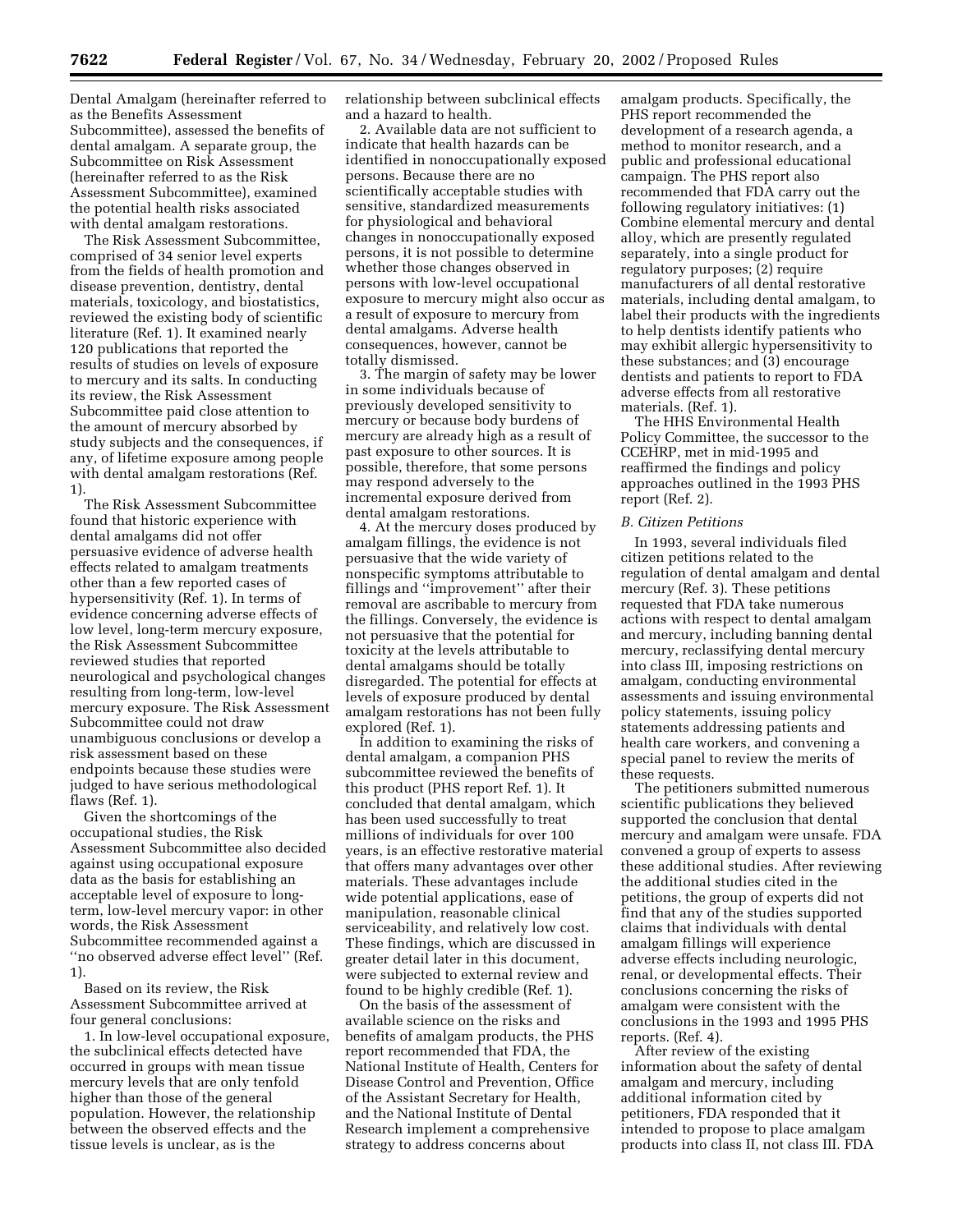Dental Amalgam (hereinafter referred to as the Benefits Assessment Subcommittee), assessed the benefits of dental amalgam. A separate group, the Subcommittee on Risk Assessment (hereinafter referred to as the Risk Assessment Subcommittee), examined the potential health risks associated with dental amalgam restorations.

The Risk Assessment Subcommittee, comprised of 34 senior level experts from the fields of health promotion and disease prevention, dentistry, dental materials, toxicology, and biostatistics, reviewed the existing body of scientific literature (Ref. 1). It examined nearly 120 publications that reported the results of studies on levels of exposure to mercury and its salts. In conducting its review, the Risk Assessment Subcommittee paid close attention to the amount of mercury absorbed by study subjects and the consequences, if any, of lifetime exposure among people with dental amalgam restorations (Ref. 1).

The Risk Assessment Subcommittee found that historic experience with dental amalgams did not offer persuasive evidence of adverse health effects related to amalgam treatments other than a few reported cases of hypersensitivity (Ref. 1). In terms of evidence concerning adverse effects of low level, long-term mercury exposure, the Risk Assessment Subcommittee reviewed studies that reported neurological and psychological changes resulting from long-term, low-level mercury exposure. The Risk Assessment Subcommittee could not draw unambiguous conclusions or develop a risk assessment based on these endpoints because these studies were judged to have serious methodological flaws (Ref. 1).

Given the shortcomings of the occupational studies, the Risk Assessment Subcommittee also decided against using occupational exposure data as the basis for establishing an acceptable level of exposure to longterm, low-level mercury vapor: in other words, the Risk Assessment Subcommittee recommended against a ''no observed adverse effect level'' (Ref. 1).

Based on its review, the Risk Assessment Subcommittee arrived at four general conclusions:

1. In low-level occupational exposure, the subclinical effects detected have occurred in groups with mean tissue mercury levels that are only tenfold higher than those of the general population. However, the relationship between the observed effects and the tissue levels is unclear, as is the

relationship between subclinical effects and a hazard to health.

2. Available data are not sufficient to indicate that health hazards can be identified in nonoccupationally exposed persons. Because there are no scientifically acceptable studies with sensitive, standardized measurements for physiological and behavioral changes in nonoccupationally exposed persons, it is not possible to determine whether those changes observed in persons with low-level occupational exposure to mercury might also occur as a result of exposure to mercury from dental amalgams. Adverse health consequences, however, cannot be totally dismissed.

3. The margin of safety may be lower in some individuals because of previously developed sensitivity to mercury or because body burdens of mercury are already high as a result of past exposure to other sources. It is possible, therefore, that some persons may respond adversely to the incremental exposure derived from dental amalgam restorations.

4. At the mercury doses produced by amalgam fillings, the evidence is not persuasive that the wide variety of nonspecific symptoms attributable to fillings and ''improvement'' after their removal are ascribable to mercury from the fillings. Conversely, the evidence is not persuasive that the potential for toxicity at the levels attributable to dental amalgams should be totally disregarded. The potential for effects at levels of exposure produced by dental amalgam restorations has not been fully explored (Ref. 1).

In addition to examining the risks of dental amalgam, a companion PHS subcommittee reviewed the benefits of this product (PHS report Ref. 1). It concluded that dental amalgam, which has been used successfully to treat millions of individuals for over 100 years, is an effective restorative material that offers many advantages over other materials. These advantages include wide potential applications, ease of manipulation, reasonable clinical serviceability, and relatively low cost. These findings, which are discussed in greater detail later in this document, were subjected to external review and found to be highly credible (Ref. 1).

On the basis of the assessment of available science on the risks and benefits of amalgam products, the PHS report recommended that FDA, the National Institute of Health, Centers for Disease Control and Prevention, Office of the Assistant Secretary for Health, and the National Institute of Dental Research implement a comprehensive strategy to address concerns about

amalgam products. Specifically, the PHS report recommended the development of a research agenda, a method to monitor research, and a public and professional educational campaign. The PHS report also recommended that FDA carry out the following regulatory initiatives: (1) Combine elemental mercury and dental alloy, which are presently regulated separately, into a single product for regulatory purposes; (2) require manufacturers of all dental restorative materials, including dental amalgam, to label their products with the ingredients to help dentists identify patients who may exhibit allergic hypersensitivity to these substances; and (3) encourage dentists and patients to report to FDA adverse effects from all restorative materials. (Ref. 1).

The HHS Environmental Health Policy Committee, the successor to the CCEHRP, met in mid-1995 and reaffirmed the findings and policy approaches outlined in the 1993 PHS report (Ref. 2).

#### *B. Citizen Petitions*

In 1993, several individuals filed citizen petitions related to the regulation of dental amalgam and dental mercury (Ref. 3). These petitions requested that FDA take numerous actions with respect to dental amalgam and mercury, including banning dental mercury, reclassifying dental mercury into class III, imposing restrictions on amalgam, conducting environmental assessments and issuing environmental policy statements, issuing policy statements addressing patients and health care workers, and convening a special panel to review the merits of these requests.

The petitioners submitted numerous scientific publications they believed supported the conclusion that dental mercury and amalgam were unsafe. FDA convened a group of experts to assess these additional studies. After reviewing the additional studies cited in the petitions, the group of experts did not find that any of the studies supported claims that individuals with dental amalgam fillings will experience adverse effects including neurologic, renal, or developmental effects. Their conclusions concerning the risks of amalgam were consistent with the conclusions in the 1993 and 1995 PHS reports. (Ref. 4).

After review of the existing information about the safety of dental amalgam and mercury, including additional information cited by petitioners, FDA responded that it intended to propose to place amalgam products into class II, not class III. FDA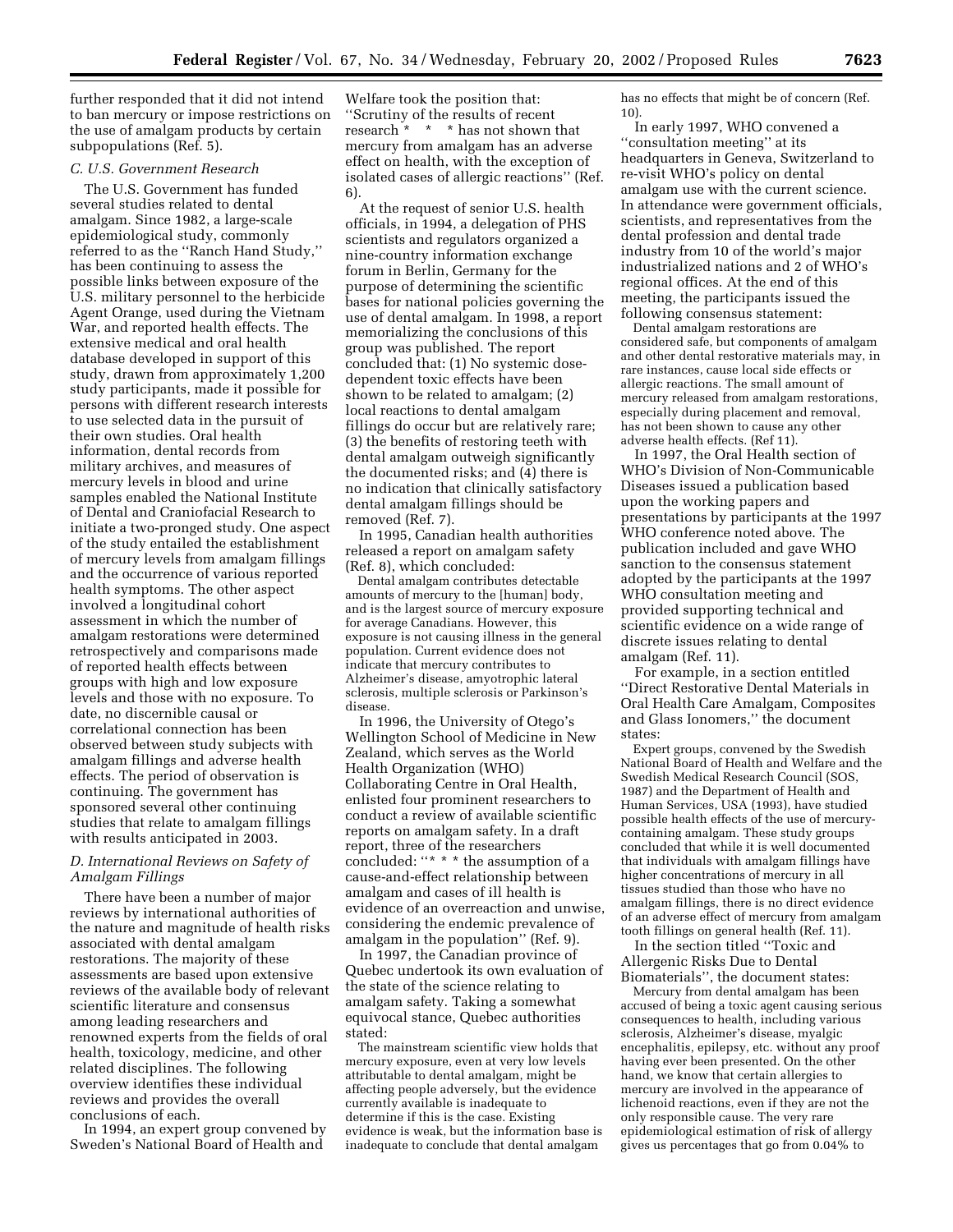further responded that it did not intend to ban mercury or impose restrictions on the use of amalgam products by certain subpopulations (Ref. 5).

#### *C. U.S. Government Research*

The U.S. Government has funded several studies related to dental amalgam. Since 1982, a large-scale epidemiological study, commonly referred to as the ''Ranch Hand Study,'' has been continuing to assess the possible links between exposure of the U.S. military personnel to the herbicide Agent Orange, used during the Vietnam War, and reported health effects. The extensive medical and oral health database developed in support of this study, drawn from approximately 1,200 study participants, made it possible for persons with different research interests to use selected data in the pursuit of their own studies. Oral health information, dental records from military archives, and measures of mercury levels in blood and urine samples enabled the National Institute of Dental and Craniofacial Research to initiate a two-pronged study. One aspect of the study entailed the establishment of mercury levels from amalgam fillings and the occurrence of various reported health symptoms. The other aspect involved a longitudinal cohort assessment in which the number of amalgam restorations were determined retrospectively and comparisons made of reported health effects between groups with high and low exposure levels and those with no exposure. To date, no discernible causal or correlational connection has been observed between study subjects with amalgam fillings and adverse health effects. The period of observation is continuing. The government has sponsored several other continuing studies that relate to amalgam fillings with results anticipated in 2003.

# *D. International Reviews on Safety of Amalgam Fillings*

There have been a number of major reviews by international authorities of the nature and magnitude of health risks associated with dental amalgam restorations. The majority of these assessments are based upon extensive reviews of the available body of relevant scientific literature and consensus among leading researchers and renowned experts from the fields of oral health, toxicology, medicine, and other related disciplines. The following overview identifies these individual reviews and provides the overall conclusions of each.

In 1994, an expert group convened by Sweden's National Board of Health and

Welfare took the position that: ''Scrutiny of the results of recent research \* \* \* has not shown that mercury from amalgam has an adverse effect on health, with the exception of isolated cases of allergic reactions'' (Ref. 6).

At the request of senior U.S. health officials, in 1994, a delegation of PHS scientists and regulators organized a nine-country information exchange forum in Berlin, Germany for the purpose of determining the scientific bases for national policies governing the use of dental amalgam. In 1998, a report memorializing the conclusions of this group was published. The report concluded that: (1) No systemic dosedependent toxic effects have been shown to be related to amalgam; (2) local reactions to dental amalgam fillings do occur but are relatively rare; (3) the benefits of restoring teeth with dental amalgam outweigh significantly the documented risks; and (4) there is no indication that clinically satisfactory dental amalgam fillings should be removed (Ref. 7).

In 1995, Canadian health authorities released a report on amalgam safety (Ref. 8), which concluded:

Dental amalgam contributes detectable amounts of mercury to the [human] body, and is the largest source of mercury exposure for average Canadians. However, this exposure is not causing illness in the general population. Current evidence does not indicate that mercury contributes to Alzheimer's disease, amyotrophic lateral sclerosis, multiple sclerosis or Parkinson's disease.

In 1996, the University of Otego's Wellington School of Medicine in New Zealand, which serves as the World Health Organization (WHO) Collaborating Centre in Oral Health, enlisted four prominent researchers to conduct a review of available scientific reports on amalgam safety. In a draft report, three of the researchers concluded: ''\* \* \* the assumption of a cause-and-effect relationship between amalgam and cases of ill health is evidence of an overreaction and unwise, considering the endemic prevalence of amalgam in the population'' (Ref. 9).

In 1997, the Canadian province of Quebec undertook its own evaluation of the state of the science relating to amalgam safety. Taking a somewhat equivocal stance, Quebec authorities stated:

The mainstream scientific view holds that mercury exposure, even at very low levels attributable to dental amalgam, might be affecting people adversely, but the evidence currently available is inadequate to determine if this is the case. Existing evidence is weak, but the information base is inadequate to conclude that dental amalgam

has no effects that might be of concern (Ref. 10).

In early 1997, WHO convened a ''consultation meeting'' at its headquarters in Geneva, Switzerland to re-visit WHO's policy on dental amalgam use with the current science. In attendance were government officials, scientists, and representatives from the dental profession and dental trade industry from 10 of the world's major industrialized nations and 2 of WHO's regional offices. At the end of this meeting, the participants issued the following consensus statement:

Dental amalgam restorations are considered safe, but components of amalgam and other dental restorative materials may, in rare instances, cause local side effects or allergic reactions. The small amount of mercury released from amalgam restorations, especially during placement and removal, has not been shown to cause any other adverse health effects. (Ref 11).

In 1997, the Oral Health section of WHO's Division of Non-Communicable Diseases issued a publication based upon the working papers and presentations by participants at the 1997 WHO conference noted above. The publication included and gave WHO sanction to the consensus statement adopted by the participants at the 1997 WHO consultation meeting and provided supporting technical and scientific evidence on a wide range of discrete issues relating to dental amalgam (Ref. 11).

For example, in a section entitled ''Direct Restorative Dental Materials in Oral Health Care Amalgam, Composites and Glass Ionomers,'' the document states:

Expert groups, convened by the Swedish National Board of Health and Welfare and the Swedish Medical Research Council (SOS, 1987) and the Department of Health and Human Services, USA (1993), have studied possible health effects of the use of mercurycontaining amalgam. These study groups concluded that while it is well documented that individuals with amalgam fillings have higher concentrations of mercury in all tissues studied than those who have no amalgam fillings, there is no direct evidence of an adverse effect of mercury from amalgam tooth fillings on general health (Ref. 11).

In the section titled ''Toxic and Allergenic Risks Due to Dental Biomaterials'', the document states:

Mercury from dental amalgam has been accused of being a toxic agent causing serious consequences to health, including various sclerosis, Alzheimer's disease, myalgic encephalitis, epilepsy, etc. without any proof having ever been presented. On the other hand, we know that certain allergies to mercury are involved in the appearance of lichenoid reactions, even if they are not the only responsible cause. The very rare epidemiological estimation of risk of allergy gives us percentages that go from 0.04% to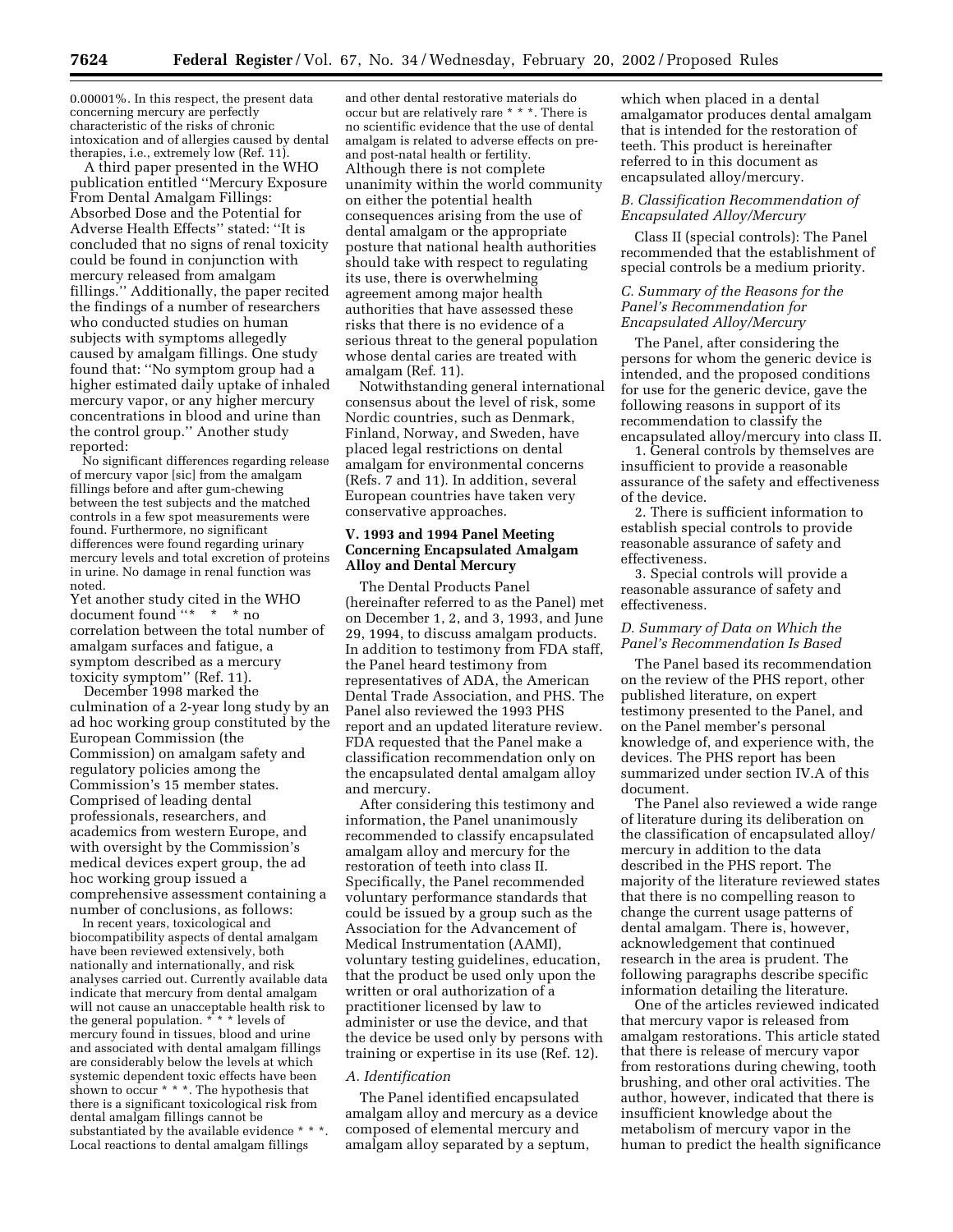0.00001%. In this respect, the present data concerning mercury are perfectly characteristic of the risks of chronic intoxication and of allergies caused by dental therapies, i.e., extremely low (Ref. 11).

A third paper presented in the WHO publication entitled ''Mercury Exposure From Dental Amalgam Fillings: Absorbed Dose and the Potential for Adverse Health Effects'' stated: ''It is concluded that no signs of renal toxicity could be found in conjunction with mercury released from amalgam fillings.'' Additionally, the paper recited the findings of a number of researchers who conducted studies on human subjects with symptoms allegedly caused by amalgam fillings. One study found that: ''No symptom group had a higher estimated daily uptake of inhaled mercury vapor, or any higher mercury concentrations in blood and urine than the control group.'' Another study reported:

No significant differences regarding release of mercury vapor [sic] from the amalgam fillings before and after gum-chewing between the test subjects and the matched controls in a few spot measurements were found. Furthermore, no significant differences were found regarding urinary mercury levels and total excretion of proteins in urine. No damage in renal function was noted.

Yet another study cited in the WHO document found ''\* \* \* no correlation between the total number of amalgam surfaces and fatigue, a symptom described as a mercury toxicity symptom'' (Ref. 11).

December 1998 marked the culmination of a 2-year long study by an ad hoc working group constituted by the European Commission (the Commission) on amalgam safety and regulatory policies among the Commission's 15 member states. Comprised of leading dental professionals, researchers, and academics from western Europe, and with oversight by the Commission's medical devices expert group, the ad hoc working group issued a comprehensive assessment containing a number of conclusions, as follows:

In recent years, toxicological and biocompatibility aspects of dental amalgam have been reviewed extensively, both nationally and internationally, and risk analyses carried out. Currently available data indicate that mercury from dental amalgam will not cause an unacceptable health risk to the general population. \* \* \* levels of mercury found in tissues, blood and urine and associated with dental amalgam fillings are considerably below the levels at which systemic dependent toxic effects have been shown to occur  $* * *$ . The hypothesis that there is a significant toxicological risk from dental amalgam fillings cannot be substantiated by the available evidence \* \* \*. Local reactions to dental amalgam fillings

and other dental restorative materials do occur but are relatively rare \* \* \*. There is no scientific evidence that the use of dental amalgam is related to adverse effects on preand post-natal health or fertility. Although there is not complete unanimity within the world community on either the potential health consequences arising from the use of dental amalgam or the appropriate posture that national health authorities should take with respect to regulating its use, there is overwhelming agreement among major health authorities that have assessed these risks that there is no evidence of a serious threat to the general population whose dental caries are treated with amalgam (Ref. 11).

Notwithstanding general international consensus about the level of risk, some Nordic countries, such as Denmark, Finland, Norway, and Sweden, have placed legal restrictions on dental amalgam for environmental concerns (Refs. 7 and 11). In addition, several European countries have taken very conservative approaches.

# **V. 1993 and 1994 Panel Meeting Concerning Encapsulated Amalgam Alloy and Dental Mercury**

The Dental Products Panel (hereinafter referred to as the Panel) met on December 1, 2, and 3, 1993, and June 29, 1994, to discuss amalgam products. In addition to testimony from FDA staff, the Panel heard testimony from representatives of ADA, the American Dental Trade Association, and PHS. The Panel also reviewed the 1993 PHS report and an updated literature review. FDA requested that the Panel make a classification recommendation only on the encapsulated dental amalgam alloy and mercury.

After considering this testimony and information, the Panel unanimously recommended to classify encapsulated amalgam alloy and mercury for the restoration of teeth into class II. Specifically, the Panel recommended voluntary performance standards that could be issued by a group such as the Association for the Advancement of Medical Instrumentation (AAMI), voluntary testing guidelines, education, that the product be used only upon the written or oral authorization of a practitioner licensed by law to administer or use the device, and that the device be used only by persons with training or expertise in its use (Ref. 12).

#### *A. Identification*

The Panel identified encapsulated amalgam alloy and mercury as a device composed of elemental mercury and amalgam alloy separated by a septum,

which when placed in a dental amalgamator produces dental amalgam that is intended for the restoration of teeth. This product is hereinafter referred to in this document as encapsulated alloy/mercury.

## *B. Classification Recommendation of Encapsulated Alloy/Mercury*

Class II (special controls): The Panel recommended that the establishment of special controls be a medium priority.

# *C. Summary of the Reasons for the Panel's Recommendation for Encapsulated Alloy/Mercury*

The Panel, after considering the persons for whom the generic device is intended, and the proposed conditions for use for the generic device, gave the following reasons in support of its recommendation to classify the encapsulated alloy/mercury into class II.

1. General controls by themselves are insufficient to provide a reasonable assurance of the safety and effectiveness of the device.

2. There is sufficient information to establish special controls to provide reasonable assurance of safety and effectiveness.

3. Special controls will provide a reasonable assurance of safety and effectiveness.

# *D. Summary of Data on Which the Panel's Recommendation Is Based*

The Panel based its recommendation on the review of the PHS report, other published literature, on expert testimony presented to the Panel, and on the Panel member's personal knowledge of, and experience with, the devices. The PHS report has been summarized under section IV.A of this document.

The Panel also reviewed a wide range of literature during its deliberation on the classification of encapsulated alloy/ mercury in addition to the data described in the PHS report. The majority of the literature reviewed states that there is no compelling reason to change the current usage patterns of dental amalgam. There is, however, acknowledgement that continued research in the area is prudent. The following paragraphs describe specific information detailing the literature.

One of the articles reviewed indicated that mercury vapor is released from amalgam restorations. This article stated that there is release of mercury vapor from restorations during chewing, tooth brushing, and other oral activities. The author, however, indicated that there is insufficient knowledge about the metabolism of mercury vapor in the human to predict the health significance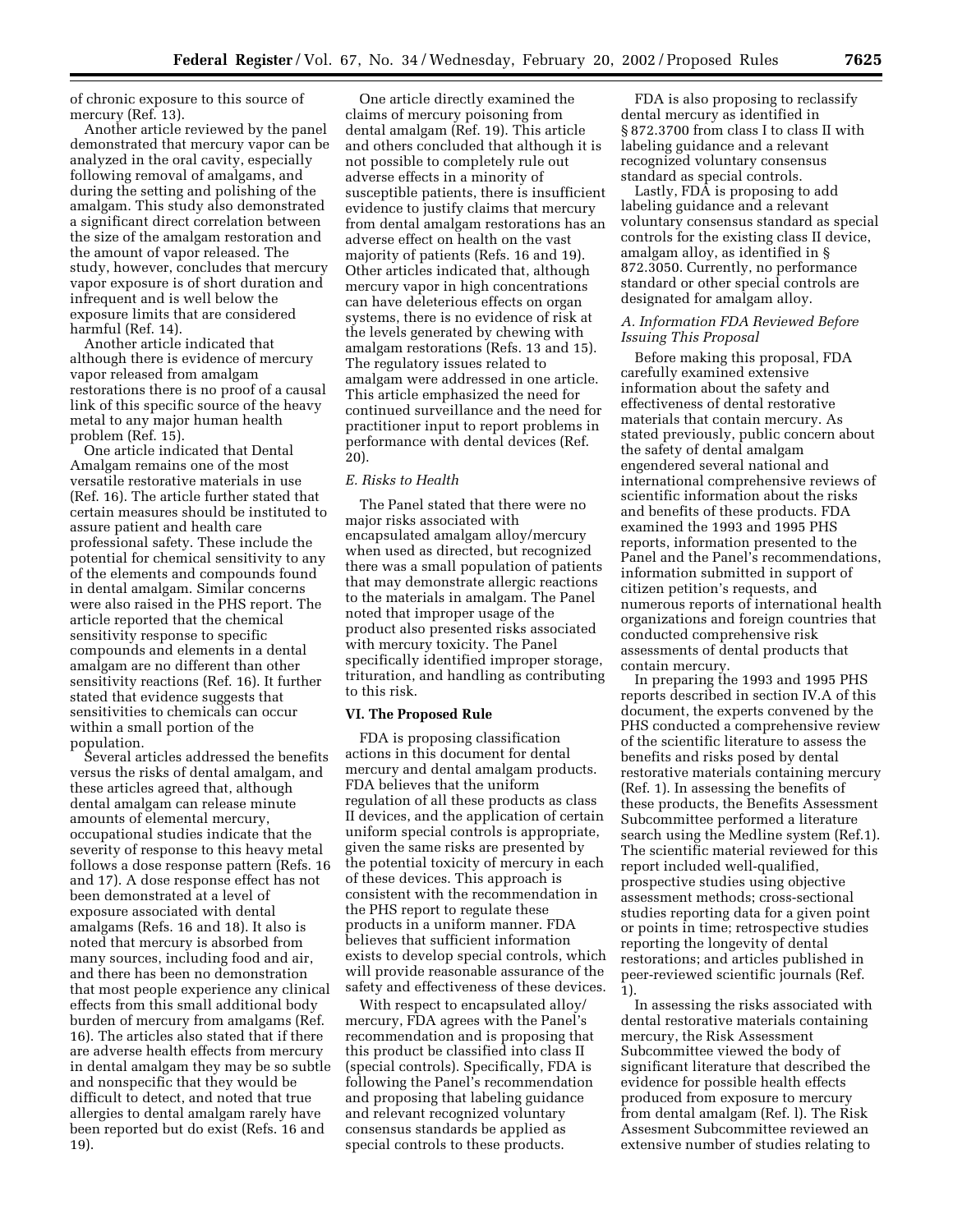of chronic exposure to this source of mercury (Ref. 13).

Another article reviewed by the panel demonstrated that mercury vapor can be analyzed in the oral cavity, especially following removal of amalgams, and during the setting and polishing of the amalgam. This study also demonstrated a significant direct correlation between the size of the amalgam restoration and the amount of vapor released. The study, however, concludes that mercury vapor exposure is of short duration and infrequent and is well below the exposure limits that are considered harmful (Ref. 14).

Another article indicated that although there is evidence of mercury vapor released from amalgam restorations there is no proof of a causal link of this specific source of the heavy metal to any major human health problem (Ref. 15).

One article indicated that Dental Amalgam remains one of the most versatile restorative materials in use (Ref. 16). The article further stated that certain measures should be instituted to assure patient and health care professional safety. These include the potential for chemical sensitivity to any of the elements and compounds found in dental amalgam. Similar concerns were also raised in the PHS report. The article reported that the chemical sensitivity response to specific compounds and elements in a dental amalgam are no different than other sensitivity reactions (Ref. 16). It further stated that evidence suggests that sensitivities to chemicals can occur within a small portion of the population.

Several articles addressed the benefits versus the risks of dental amalgam, and these articles agreed that, although dental amalgam can release minute amounts of elemental mercury, occupational studies indicate that the severity of response to this heavy metal follows a dose response pattern (Refs. 16 and 17). A dose response effect has not been demonstrated at a level of exposure associated with dental amalgams (Refs. 16 and 18). It also is noted that mercury is absorbed from many sources, including food and air, and there has been no demonstration that most people experience any clinical effects from this small additional body burden of mercury from amalgams (Ref. 16). The articles also stated that if there are adverse health effects from mercury in dental amalgam they may be so subtle and nonspecific that they would be difficult to detect, and noted that true allergies to dental amalgam rarely have been reported but do exist (Refs. 16 and 19).

One article directly examined the claims of mercury poisoning from dental amalgam (Ref. 19). This article and others concluded that although it is not possible to completely rule out adverse effects in a minority of susceptible patients, there is insufficient evidence to justify claims that mercury from dental amalgam restorations has an adverse effect on health on the vast majority of patients (Refs. 16 and 19). Other articles indicated that, although mercury vapor in high concentrations can have deleterious effects on organ systems, there is no evidence of risk at the levels generated by chewing with amalgam restorations (Refs. 13 and 15). The regulatory issues related to amalgam were addressed in one article. This article emphasized the need for continued surveillance and the need for practitioner input to report problems in performance with dental devices (Ref. 20).

#### *E. Risks to Health*

The Panel stated that there were no major risks associated with encapsulated amalgam alloy/mercury when used as directed, but recognized there was a small population of patients that may demonstrate allergic reactions to the materials in amalgam. The Panel noted that improper usage of the product also presented risks associated with mercury toxicity. The Panel specifically identified improper storage, trituration, and handling as contributing to this risk.

# **VI. The Proposed Rule**

FDA is proposing classification actions in this document for dental mercury and dental amalgam products. FDA believes that the uniform regulation of all these products as class II devices, and the application of certain uniform special controls is appropriate, given the same risks are presented by the potential toxicity of mercury in each of these devices. This approach is consistent with the recommendation in the PHS report to regulate these products in a uniform manner. FDA believes that sufficient information exists to develop special controls, which will provide reasonable assurance of the safety and effectiveness of these devices.

With respect to encapsulated alloy/ mercury, FDA agrees with the Panel's recommendation and is proposing that this product be classified into class II (special controls). Specifically, FDA is following the Panel's recommendation and proposing that labeling guidance and relevant recognized voluntary consensus standards be applied as special controls to these products.

FDA is also proposing to reclassify dental mercury as identified in § 872.3700 from class I to class II with labeling guidance and a relevant recognized voluntary consensus standard as special controls.

Lastly, FDA is proposing to add labeling guidance and a relevant voluntary consensus standard as special controls for the existing class II device, amalgam alloy, as identified in § 872.3050. Currently, no performance standard or other special controls are designated for amalgam alloy.

# *A. Information FDA Reviewed Before Issuing This Proposal*

Before making this proposal, FDA carefully examined extensive information about the safety and effectiveness of dental restorative materials that contain mercury. As stated previously, public concern about the safety of dental amalgam engendered several national and international comprehensive reviews of scientific information about the risks and benefits of these products. FDA examined the 1993 and 1995 PHS reports, information presented to the Panel and the Panel's recommendations, information submitted in support of citizen petition's requests, and numerous reports of international health organizations and foreign countries that conducted comprehensive risk assessments of dental products that contain mercury.

In preparing the 1993 and 1995 PHS reports described in section IV.A of this document, the experts convened by the PHS conducted a comprehensive review of the scientific literature to assess the benefits and risks posed by dental restorative materials containing mercury (Ref. 1). In assessing the benefits of these products, the Benefits Assessment Subcommittee performed a literature search using the Medline system (Ref.1). The scientific material reviewed for this report included well-qualified, prospective studies using objective assessment methods; cross-sectional studies reporting data for a given point or points in time; retrospective studies reporting the longevity of dental restorations; and articles published in peer-reviewed scientific journals (Ref. 1).

In assessing the risks associated with dental restorative materials containing mercury, the Risk Assessment Subcommittee viewed the body of significant literature that described the evidence for possible health effects produced from exposure to mercury from dental amalgam (Ref. l). The Risk Assesment Subcommittee reviewed an extensive number of studies relating to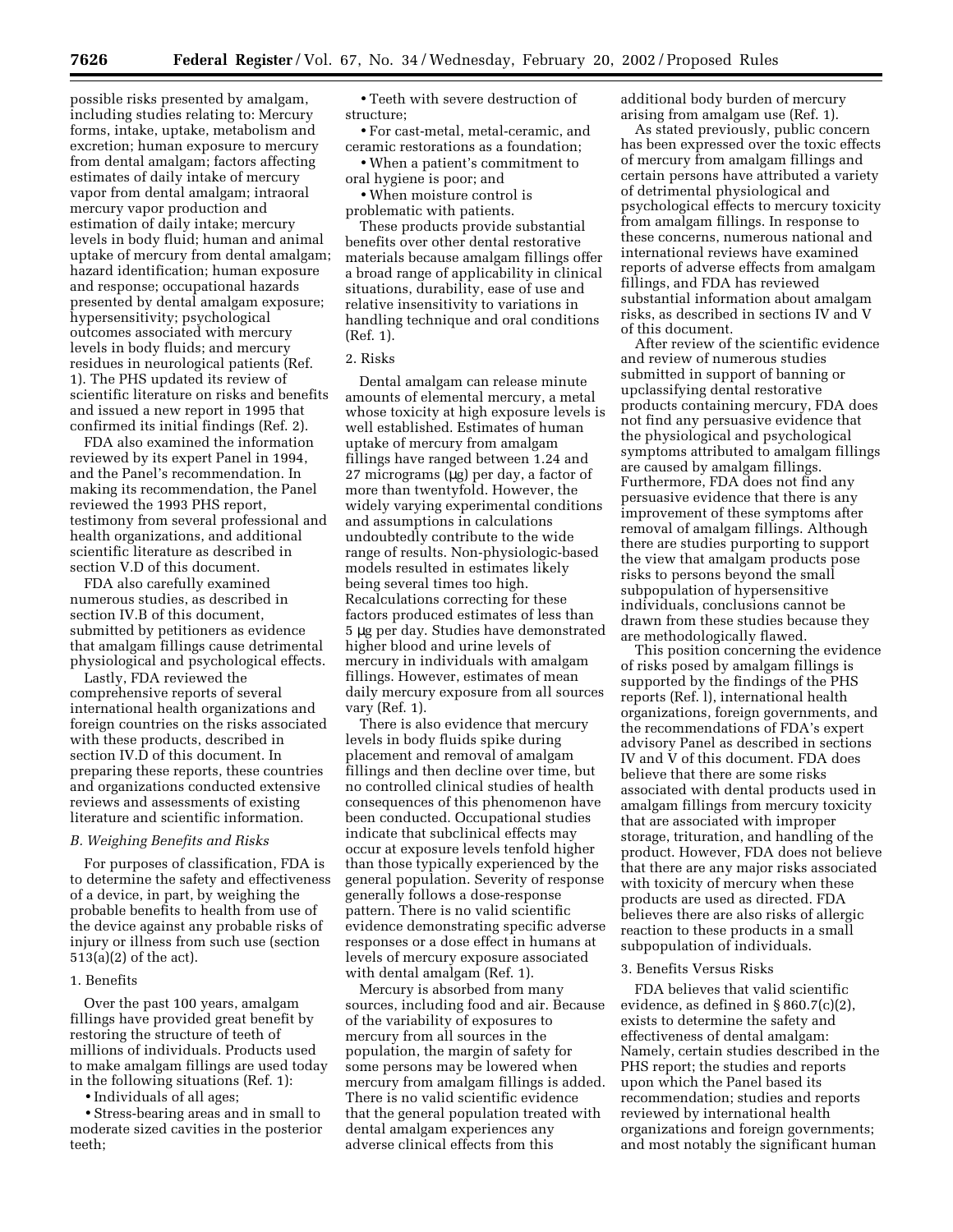possible risks presented by amalgam, including studies relating to: Mercury forms, intake, uptake, metabolism and excretion; human exposure to mercury from dental amalgam; factors affecting estimates of daily intake of mercury vapor from dental amalgam; intraoral mercury vapor production and estimation of daily intake; mercury levels in body fluid; human and animal uptake of mercury from dental amalgam; hazard identification; human exposure and response; occupational hazards presented by dental amalgam exposure; hypersensitivity; psychological outcomes associated with mercury levels in body fluids; and mercury residues in neurological patients (Ref. 1). The PHS updated its review of scientific literature on risks and benefits and issued a new report in 1995 that confirmed its initial findings (Ref. 2).

FDA also examined the information reviewed by its expert Panel in 1994, and the Panel's recommendation. In making its recommendation, the Panel reviewed the 1993 PHS report, testimony from several professional and health organizations, and additional scientific literature as described in section V.D of this document.

FDA also carefully examined numerous studies, as described in section IV.B of this document, submitted by petitioners as evidence that amalgam fillings cause detrimental physiological and psychological effects.

Lastly, FDA reviewed the comprehensive reports of several international health organizations and foreign countries on the risks associated with these products, described in section IV.D of this document. In preparing these reports, these countries and organizations conducted extensive reviews and assessments of existing literature and scientific information.

#### *B. Weighing Benefits and Risks*

For purposes of classification, FDA is to determine the safety and effectiveness of a device, in part, by weighing the probable benefits to health from use of the device against any probable risks of injury or illness from such use (section 513(a)(2) of the act).

#### 1. Benefits

Over the past 100 years, amalgam fillings have provided great benefit by restoring the structure of teeth of millions of individuals. Products used to make amalgam fillings are used today in the following situations (Ref. 1):

• Individuals of all ages;

• Stress-bearing areas and in small to moderate sized cavities in the posterior teeth;

• Teeth with severe destruction of structure;

• For cast-metal, metal-ceramic, and ceramic restorations as a foundation;

• When a patient's commitment to oral hygiene is poor; and

• When moisture control is problematic with patients.

These products provide substantial benefits over other dental restorative materials because amalgam fillings offer a broad range of applicability in clinical situations, durability, ease of use and relative insensitivity to variations in handling technique and oral conditions (Ref. 1).

## 2. Risks

Dental amalgam can release minute amounts of elemental mercury, a metal whose toxicity at high exposure levels is well established. Estimates of human uptake of mercury from amalgam fillings have ranged between 1.24 and 27 micrograms (µg) per day, a factor of more than twentyfold. However, the widely varying experimental conditions and assumptions in calculations undoubtedly contribute to the wide range of results. Non-physiologic-based models resulted in estimates likely being several times too high. Recalculations correcting for these factors produced estimates of less than 5 µg per day. Studies have demonstrated higher blood and urine levels of mercury in individuals with amalgam fillings. However, estimates of mean daily mercury exposure from all sources vary (Ref. 1).

There is also evidence that mercury levels in body fluids spike during placement and removal of amalgam fillings and then decline over time, but no controlled clinical studies of health consequences of this phenomenon have been conducted. Occupational studies indicate that subclinical effects may occur at exposure levels tenfold higher than those typically experienced by the general population. Severity of response generally follows a dose-response pattern. There is no valid scientific evidence demonstrating specific adverse responses or a dose effect in humans at levels of mercury exposure associated with dental amalgam (Ref. 1).

Mercury is absorbed from many sources, including food and air. Because of the variability of exposures to mercury from all sources in the population, the margin of safety for some persons may be lowered when mercury from amalgam fillings is added. There is no valid scientific evidence that the general population treated with dental amalgam experiences any adverse clinical effects from this

additional body burden of mercury arising from amalgam use (Ref. 1).

As stated previously, public concern has been expressed over the toxic effects of mercury from amalgam fillings and certain persons have attributed a variety of detrimental physiological and psychological effects to mercury toxicity from amalgam fillings. In response to these concerns, numerous national and international reviews have examined reports of adverse effects from amalgam fillings, and FDA has reviewed substantial information about amalgam risks, as described in sections IV and V of this document.

After review of the scientific evidence and review of numerous studies submitted in support of banning or upclassifying dental restorative products containing mercury, FDA does not find any persuasive evidence that the physiological and psychological symptoms attributed to amalgam fillings are caused by amalgam fillings. Furthermore, FDA does not find any persuasive evidence that there is any improvement of these symptoms after removal of amalgam fillings. Although there are studies purporting to support the view that amalgam products pose risks to persons beyond the small subpopulation of hypersensitive individuals, conclusions cannot be drawn from these studies because they are methodologically flawed.

This position concerning the evidence of risks posed by amalgam fillings is supported by the findings of the PHS reports (Ref. l), international health organizations, foreign governments, and the recommendations of FDA's expert advisory Panel as described in sections IV and V of this document. FDA does believe that there are some risks associated with dental products used in amalgam fillings from mercury toxicity that are associated with improper storage, trituration, and handling of the product. However, FDA does not believe that there are any major risks associated with toxicity of mercury when these products are used as directed. FDA believes there are also risks of allergic reaction to these products in a small subpopulation of individuals.

## 3. Benefits Versus Risks

FDA believes that valid scientific evidence, as defined in § 860.7(c)(2), exists to determine the safety and effectiveness of dental amalgam: Namely, certain studies described in the PHS report; the studies and reports upon which the Panel based its recommendation; studies and reports reviewed by international health organizations and foreign governments; and most notably the significant human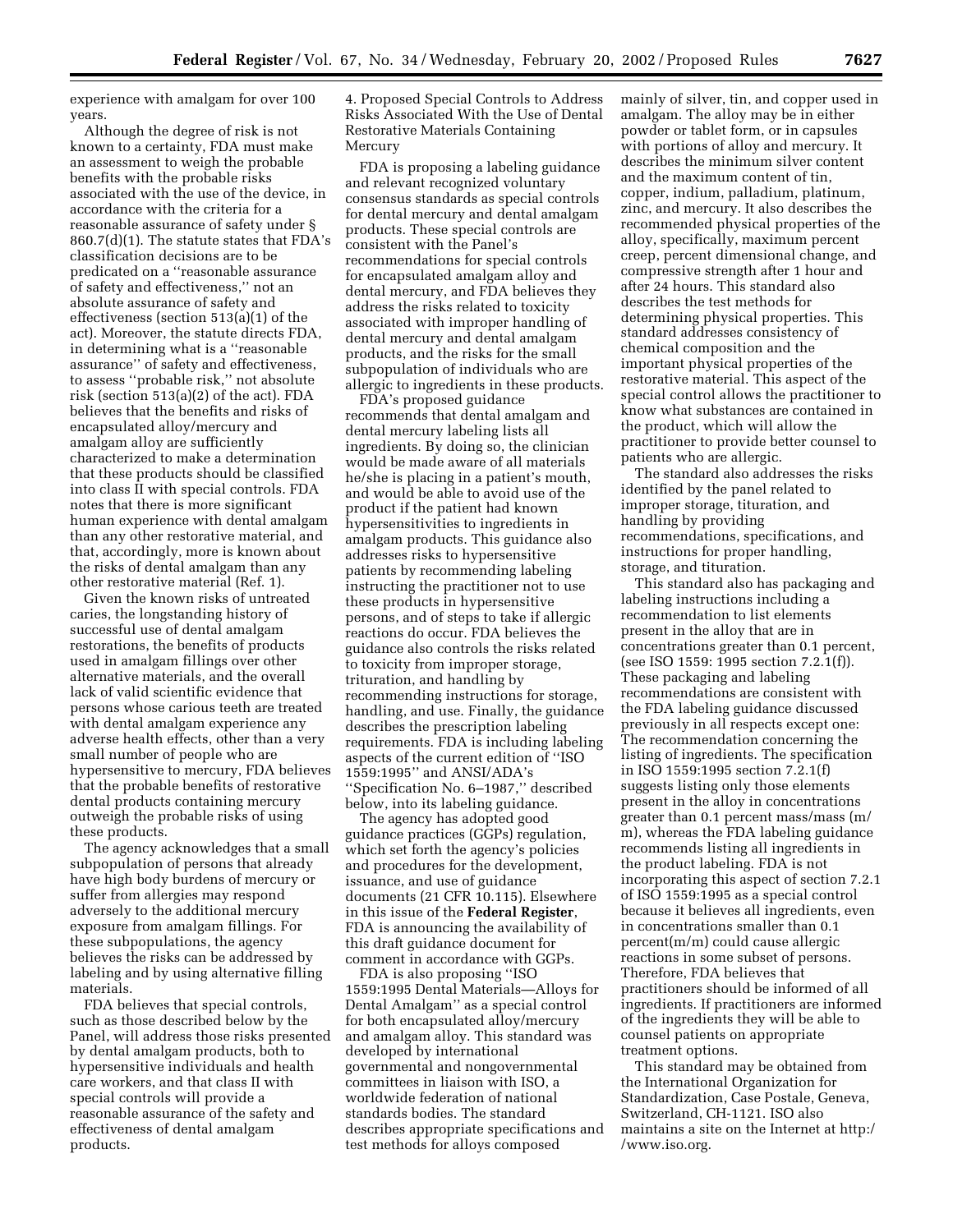experience with amalgam for over 100 years.

Although the degree of risk is not known to a certainty, FDA must make an assessment to weigh the probable benefits with the probable risks associated with the use of the device, in accordance with the criteria for a reasonable assurance of safety under § 860.7(d)(1). The statute states that FDA's classification decisions are to be predicated on a ''reasonable assurance of safety and effectiveness,'' not an absolute assurance of safety and effectiveness (section 513(a)(1) of the act). Moreover, the statute directs FDA, in determining what is a ''reasonable assurance'' of safety and effectiveness, to assess ''probable risk,'' not absolute risk (section 513(a)(2) of the act). FDA believes that the benefits and risks of encapsulated alloy/mercury and amalgam alloy are sufficiently characterized to make a determination that these products should be classified into class II with special controls. FDA notes that there is more significant human experience with dental amalgam than any other restorative material, and that, accordingly, more is known about the risks of dental amalgam than any other restorative material (Ref. 1).

Given the known risks of untreated caries, the longstanding history of successful use of dental amalgam restorations, the benefits of products used in amalgam fillings over other alternative materials, and the overall lack of valid scientific evidence that persons whose carious teeth are treated with dental amalgam experience any adverse health effects, other than a very small number of people who are hypersensitive to mercury, FDA believes that the probable benefits of restorative dental products containing mercury outweigh the probable risks of using these products.

The agency acknowledges that a small subpopulation of persons that already have high body burdens of mercury or suffer from allergies may respond adversely to the additional mercury exposure from amalgam fillings. For these subpopulations, the agency believes the risks can be addressed by labeling and by using alternative filling materials.

FDA believes that special controls, such as those described below by the Panel, will address those risks presented by dental amalgam products, both to hypersensitive individuals and health care workers, and that class II with special controls will provide a reasonable assurance of the safety and effectiveness of dental amalgam products.

4. Proposed Special Controls to Address Risks Associated With the Use of Dental Restorative Materials Containing Mercury

FDA is proposing a labeling guidance and relevant recognized voluntary consensus standards as special controls for dental mercury and dental amalgam products. These special controls are consistent with the Panel's recommendations for special controls for encapsulated amalgam alloy and dental mercury, and FDA believes they address the risks related to toxicity associated with improper handling of dental mercury and dental amalgam products, and the risks for the small subpopulation of individuals who are allergic to ingredients in these products.

FDA's proposed guidance recommends that dental amalgam and dental mercury labeling lists all ingredients. By doing so, the clinician would be made aware of all materials he/she is placing in a patient's mouth, and would be able to avoid use of the product if the patient had known hypersensitivities to ingredients in amalgam products. This guidance also addresses risks to hypersensitive patients by recommending labeling instructing the practitioner not to use these products in hypersensitive persons, and of steps to take if allergic reactions do occur. FDA believes the guidance also controls the risks related to toxicity from improper storage, trituration, and handling by recommending instructions for storage, handling, and use. Finally, the guidance describes the prescription labeling requirements. FDA is including labeling aspects of the current edition of ''ISO 1559:1995'' and ANSI/ADA's ''Specification No. 6–1987,'' described below, into its labeling guidance.

The agency has adopted good guidance practices (GGPs) regulation, which set forth the agency's policies and procedures for the development, issuance, and use of guidance documents (21 CFR 10.115). Elsewhere in this issue of the **Federal Register**, FDA is announcing the availability of this draft guidance document for comment in accordance with GGPs.

FDA is also proposing ''ISO 1559:1995 Dental Materials—Alloys for Dental Amalgam'' as a special control for both encapsulated alloy/mercury and amalgam alloy. This standard was developed by international governmental and nongovernmental committees in liaison with ISO, a worldwide federation of national standards bodies. The standard describes appropriate specifications and test methods for alloys composed

mainly of silver, tin, and copper used in amalgam. The alloy may be in either powder or tablet form, or in capsules with portions of alloy and mercury. It describes the minimum silver content and the maximum content of tin, copper, indium, palladium, platinum, zinc, and mercury. It also describes the recommended physical properties of the alloy, specifically, maximum percent creep, percent dimensional change, and compressive strength after 1 hour and after 24 hours. This standard also describes the test methods for determining physical properties. This standard addresses consistency of chemical composition and the important physical properties of the restorative material. This aspect of the special control allows the practitioner to know what substances are contained in the product, which will allow the practitioner to provide better counsel to patients who are allergic.

The standard also addresses the risks identified by the panel related to improper storage, tituration, and handling by providing recommendations, specifications, and instructions for proper handling, storage, and tituration.

This standard also has packaging and labeling instructions including a recommendation to list elements present in the alloy that are in concentrations greater than 0.1 percent, (see ISO 1559: 1995 section 7.2.1(f)). These packaging and labeling recommendations are consistent with the FDA labeling guidance discussed previously in all respects except one: The recommendation concerning the listing of ingredients. The specification in ISO 1559:1995 section 7.2.1(f) suggests listing only those elements present in the alloy in concentrations greater than 0.1 percent mass/mass (m/ m), whereas the FDA labeling guidance recommends listing all ingredients in the product labeling. FDA is not incorporating this aspect of section 7.2.1 of ISO 1559:1995 as a special control because it believes all ingredients, even in concentrations smaller than 0.1 percent(m/m) could cause allergic reactions in some subset of persons. Therefore, FDA believes that practitioners should be informed of all ingredients. If practitioners are informed of the ingredients they will be able to counsel patients on appropriate treatment options.

This standard may be obtained from the International Organization for Standardization, Case Postale, Geneva, Switzerland, CH-1121. ISO also maintains a site on the Internet at http:/ /www.iso.org.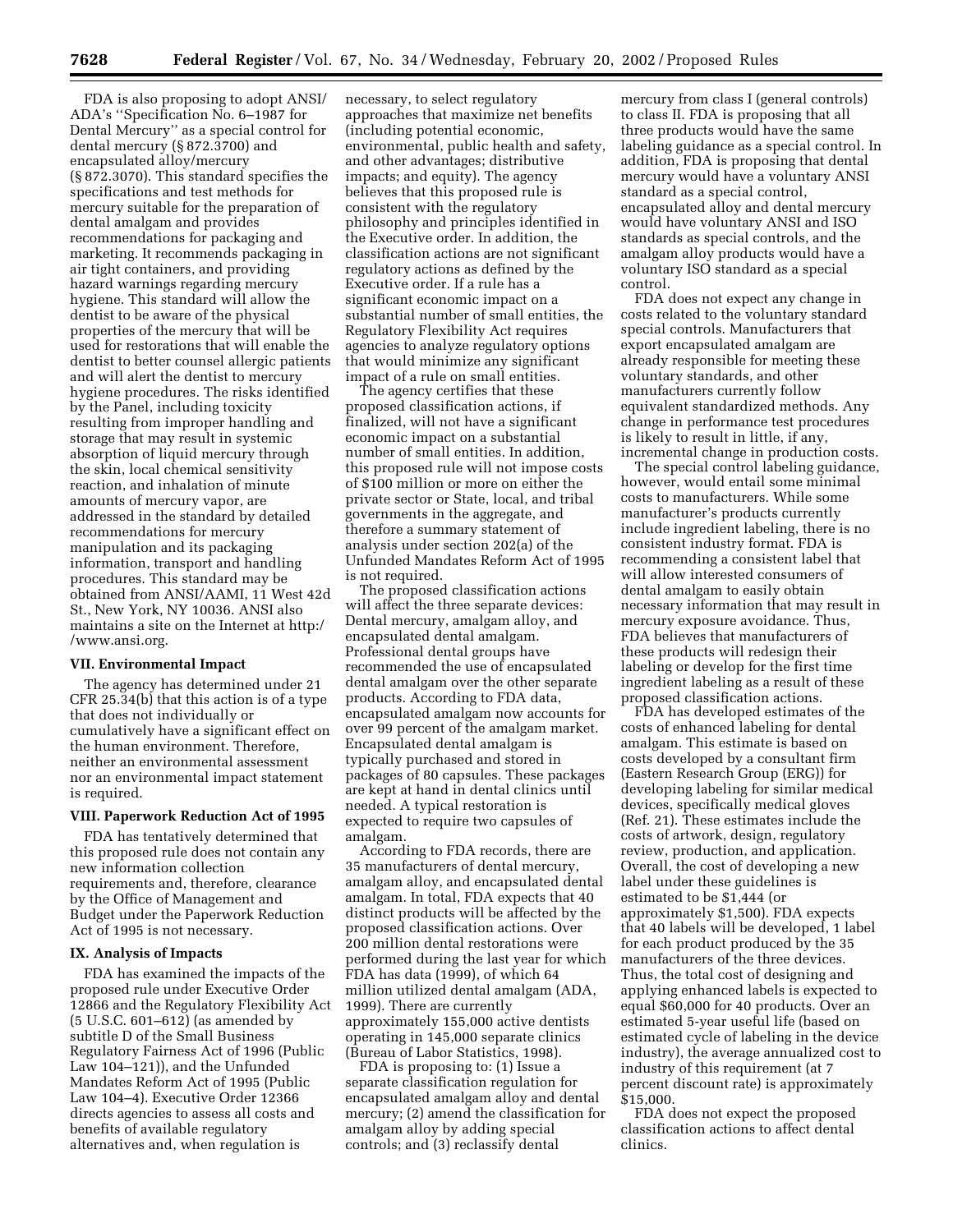FDA is also proposing to adopt ANSI/ ADA's ''Specification No. 6–1987 for Dental Mercury'' as a special control for dental mercury (§ 872.3700) and encapsulated alloy/mercury (§ 872.3070). This standard specifies the specifications and test methods for mercury suitable for the preparation of dental amalgam and provides recommendations for packaging and marketing. It recommends packaging in air tight containers, and providing hazard warnings regarding mercury hygiene. This standard will allow the dentist to be aware of the physical properties of the mercury that will be used for restorations that will enable the dentist to better counsel allergic patients and will alert the dentist to mercury hygiene procedures. The risks identified by the Panel, including toxicity resulting from improper handling and storage that may result in systemic absorption of liquid mercury through the skin, local chemical sensitivity reaction, and inhalation of minute amounts of mercury vapor, are addressed in the standard by detailed recommendations for mercury manipulation and its packaging information, transport and handling procedures. This standard may be obtained from ANSI/AAMI, 11 West 42d St., New York, NY 10036. ANSI also maintains a site on the Internet at http:/ /www.ansi.org.

# **VII. Environmental Impact**

The agency has determined under 21 CFR 25.34(b) that this action is of a type that does not individually or cumulatively have a significant effect on the human environment. Therefore, neither an environmental assessment nor an environmental impact statement is required.

#### **VIII. Paperwork Reduction Act of 1995**

FDA has tentatively determined that this proposed rule does not contain any new information collection requirements and, therefore, clearance by the Office of Management and Budget under the Paperwork Reduction Act of 1995 is not necessary.

# **IX. Analysis of Impacts**

FDA has examined the impacts of the proposed rule under Executive Order 12866 and the Regulatory Flexibility Act (5 U.S.C. 601–612) (as amended by subtitle D of the Small Business Regulatory Fairness Act of 1996 (Public Law 104–121)), and the Unfunded Mandates Reform Act of 1995 (Public Law 104–4). Executive Order 12366 directs agencies to assess all costs and benefits of available regulatory alternatives and, when regulation is

necessary, to select regulatory approaches that maximize net benefits (including potential economic, environmental, public health and safety, and other advantages; distributive impacts; and equity). The agency believes that this proposed rule is consistent with the regulatory philosophy and principles identified in the Executive order. In addition, the classification actions are not significant regulatory actions as defined by the Executive order. If a rule has a significant economic impact on a substantial number of small entities, the Regulatory Flexibility Act requires agencies to analyze regulatory options that would minimize any significant impact of a rule on small entities.

The agency certifies that these proposed classification actions, if finalized, will not have a significant economic impact on a substantial number of small entities. In addition, this proposed rule will not impose costs of \$100 million or more on either the private sector or State, local, and tribal governments in the aggregate, and therefore a summary statement of analysis under section 202(a) of the Unfunded Mandates Reform Act of 1995 is not required.

The proposed classification actions will affect the three separate devices: Dental mercury, amalgam alloy, and encapsulated dental amalgam. Professional dental groups have recommended the use of encapsulated dental amalgam over the other separate products. According to FDA data, encapsulated amalgam now accounts for over 99 percent of the amalgam market. Encapsulated dental amalgam is typically purchased and stored in packages of 80 capsules. These packages are kept at hand in dental clinics until needed. A typical restoration is expected to require two capsules of amalgam.

According to FDA records, there are 35 manufacturers of dental mercury, amalgam alloy, and encapsulated dental amalgam. In total, FDA expects that 40 distinct products will be affected by the proposed classification actions. Over 200 million dental restorations were performed during the last year for which FDA has data (1999), of which 64 million utilized dental amalgam (ADA, 1999). There are currently approximately 155,000 active dentists operating in 145,000 separate clinics (Bureau of Labor Statistics, 1998).

FDA is proposing to: (1) Issue a separate classification regulation for encapsulated amalgam alloy and dental mercury; (2) amend the classification for amalgam alloy by adding special controls; and (3) reclassify dental

mercury from class I (general controls) to class II. FDA is proposing that all three products would have the same labeling guidance as a special control. In addition, FDA is proposing that dental mercury would have a voluntary ANSI standard as a special control, encapsulated alloy and dental mercury would have voluntary ANSI and ISO standards as special controls, and the amalgam alloy products would have a voluntary ISO standard as a special control.

FDA does not expect any change in costs related to the voluntary standard special controls. Manufacturers that export encapsulated amalgam are already responsible for meeting these voluntary standards, and other manufacturers currently follow equivalent standardized methods. Any change in performance test procedures is likely to result in little, if any, incremental change in production costs.

The special control labeling guidance, however, would entail some minimal costs to manufacturers. While some manufacturer's products currently include ingredient labeling, there is no consistent industry format. FDA is recommending a consistent label that will allow interested consumers of dental amalgam to easily obtain necessary information that may result in mercury exposure avoidance. Thus, FDA believes that manufacturers of these products will redesign their labeling or develop for the first time ingredient labeling as a result of these proposed classification actions.

FDA has developed estimates of the costs of enhanced labeling for dental amalgam. This estimate is based on costs developed by a consultant firm (Eastern Research Group (ERG)) for developing labeling for similar medical devices, specifically medical gloves (Ref. 21). These estimates include the costs of artwork, design, regulatory review, production, and application. Overall, the cost of developing a new label under these guidelines is estimated to be \$1,444 (or approximately \$1,500). FDA expects that 40 labels will be developed, 1 label for each product produced by the 35 manufacturers of the three devices. Thus, the total cost of designing and applying enhanced labels is expected to equal \$60,000 for 40 products. Over an estimated 5-year useful life (based on estimated cycle of labeling in the device industry), the average annualized cost to industry of this requirement (at 7 percent discount rate) is approximately \$15,000.

FDA does not expect the proposed classification actions to affect dental clinics.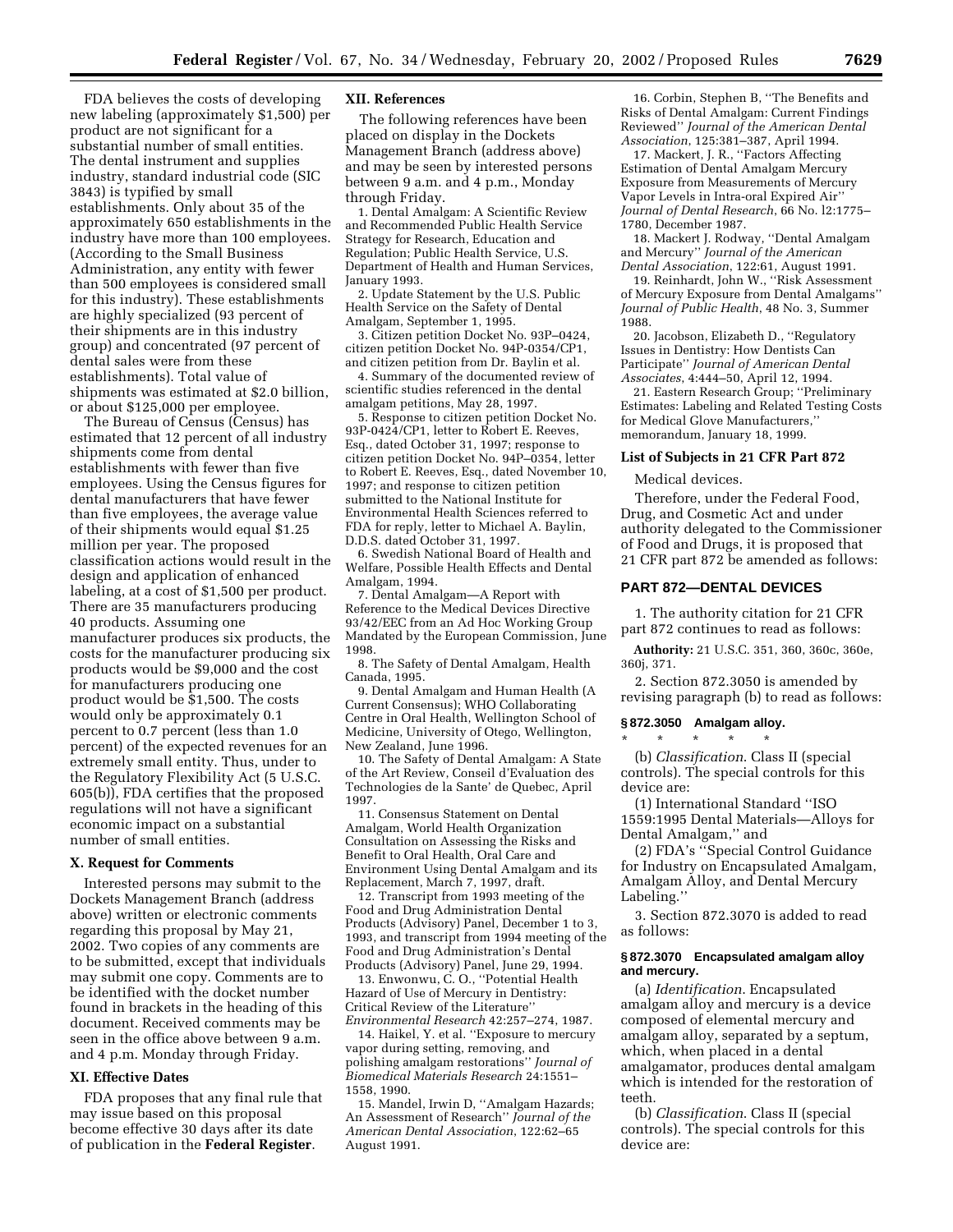FDA believes the costs of developing new labeling (approximately \$1,500) per product are not significant for a substantial number of small entities. The dental instrument and supplies industry, standard industrial code (SIC 3843) is typified by small establishments. Only about 35 of the approximately 650 establishments in the industry have more than 100 employees. (According to the Small Business Administration, any entity with fewer than 500 employees is considered small for this industry). These establishments are highly specialized (93 percent of their shipments are in this industry group) and concentrated (97 percent of dental sales were from these establishments). Total value of shipments was estimated at \$2.0 billion, or about \$125,000 per employee.

The Bureau of Census (Census) has estimated that 12 percent of all industry shipments come from dental establishments with fewer than five employees. Using the Census figures for dental manufacturers that have fewer than five employees, the average value of their shipments would equal \$1.25 million per year. The proposed classification actions would result in the design and application of enhanced labeling, at a cost of \$1,500 per product. There are 35 manufacturers producing 40 products. Assuming one manufacturer produces six products, the costs for the manufacturer producing six products would be \$9,000 and the cost for manufacturers producing one product would be \$1,500. The costs would only be approximately 0.1 percent to 0.7 percent (less than 1.0 percent) of the expected revenues for an extremely small entity. Thus, under to the Regulatory Flexibility Act (5 U.S.C. 605(b)), FDA certifies that the proposed regulations will not have a significant economic impact on a substantial number of small entities.

#### **X. Request for Comments**

Interested persons may submit to the Dockets Management Branch (address above) written or electronic comments regarding this proposal by May 21, 2002. Two copies of any comments are to be submitted, except that individuals may submit one copy. Comments are to be identified with the docket number found in brackets in the heading of this document. Received comments may be seen in the office above between 9 a.m. and 4 p.m. Monday through Friday.

#### **XI. Effective Dates**

FDA proposes that any final rule that may issue based on this proposal become effective 30 days after its date of publication in the **Federal Register**.

# **XII. References**

The following references have been placed on display in the Dockets Management Branch (address above) and may be seen by interested persons between 9 a.m. and 4 p.m., Monday through Friday.

1. Dental Amalgam: A Scientific Review and Recommended Public Health Service Strategy for Research, Education and Regulation; Public Health Service, U.S. Department of Health and Human Services, January 1993.

2. Update Statement by the U.S. Public Health Service on the Safety of Dental Amalgam, September 1, 1995.

3. Citizen petition Docket No. 93P–0424, citizen petition Docket No. 94P-0354/CP1, and citizen petition from Dr. Baylin et al.

4. Summary of the documented review of scientific studies referenced in the dental amalgam petitions, May 28, 1997.

5. Response to citizen petition Docket No. 93P-0424/CP1, letter to Robert E. Reeves, Esq., dated October 31, 1997; response to citizen petition Docket No. 94P–0354, letter to Robert E. Reeves, Esq., dated November 10, 1997; and response to citizen petition submitted to the National Institute for Environmental Health Sciences referred to FDA for reply, letter to Michael A. Baylin, D.D.S. dated October 31, 1997.

6. Swedish National Board of Health and Welfare, Possible Health Effects and Dental Amalgam, 1994.

7. Dental Amalgam—A Report with Reference to the Medical Devices Directive 93/42/EEC from an Ad Hoc Working Group Mandated by the European Commission, June 1998.

8. The Safety of Dental Amalgam, Health Canada, 1995.

9. Dental Amalgam and Human Health (A Current Consensus); WHO Collaborating Centre in Oral Health, Wellington School of Medicine, University of Otego, Wellington, New Zealand, June 1996.

10. The Safety of Dental Amalgam: A State of the Art Review, Conseil d'Evaluation des Technologies de la Sante' de Quebec, April 1997.

11. Consensus Statement on Dental Amalgam, World Health Organization Consultation on Assessing the Risks and Benefit to Oral Health, Oral Care and Environment Using Dental Amalgam and its Replacement, March 7, 1997, draft.

12. Transcript from 1993 meeting of the Food and Drug Administration Dental Products (Advisory) Panel, December 1 to 3, 1993, and transcript from 1994 meeting of the Food and Drug Administration's Dental Products (Advisory) Panel, June 29, 1994.

13. Enwonwu, C. O., ''Potential Health Hazard of Use of Mercury in Dentistry: Critical Review of the Literature'' *Environmental Research* 42:257–274, 1987.

14. Haikel, Y. et al. ''Exposure to mercury vapor during setting, removing, and polishing amalgam restorations'' *Journal of Biomedical Materials Research* 24:1551– 1558, 1990.

15. Mandel, Irwin D, ''Amalgam Hazards; An Assessment of Research'' *Journal of the American Dental Association*, 122:62–65 August 1991.

16. Corbin, Stephen B, ''The Benefits and Risks of Dental Amalgam: Current Findings Reviewed'' *Journal of the American Dental Association*, 125:381–387, April 1994.

17. Mackert, J. R., ''Factors Affecting Estimation of Dental Amalgam Mercury Exposure from Measurements of Mercury Vapor Levels in Intra-oral Expired Air'' *Journal of Dental Research*, 66 No. l2:1775– 1780, December 1987.

18. Mackert J. Rodway, ''Dental Amalgam and Mercury'' *Journal of the American Dental Association*, 122:61, August 1991.

19. Reinhardt, John W., ''Risk Assessment of Mercury Exposure from Dental Amalgams'' *Journal of Public Health*, 48 No. 3, Summer 1988.

20. Jacobson, Elizabeth D., ''Regulatory Issues in Dentistry: How Dentists Can Participate'' *Journal of American Dental Associates*, 4:444–50, April 12, 1994.

21. Eastern Research Group; ''Preliminary Estimates: Labeling and Related Testing Costs for Medical Glove Manufacturers,'' memorandum, January 18, 1999.

#### **List of Subjects in 21 CFR Part 872**

Medical devices.

Therefore, under the Federal Food, Drug, and Cosmetic Act and under authority delegated to the Commissioner of Food and Drugs, it is proposed that 21 CFR part 872 be amended as follows:

# **PART 872—DENTAL DEVICES**

1. The authority citation for 21 CFR part 872 continues to read as follows:

**Authority:** 21 U.S.C. 351, 360, 360c, 360e, 360j, 371.

2. Section 872.3050 is amended by revising paragraph (b) to read as follows:

#### **§ 872.3050 Amalgam alloy.**

\* \* \* \* \* (b) *Classification*. Class II (special controls). The special controls for this device are:

(1) International Standard ''ISO 1559:1995 Dental Materials—Alloys for Dental Amalgam,'' and

(2) FDA's ''Special Control Guidance for Industry on Encapsulated Amalgam, Amalgam Alloy, and Dental Mercury Labeling.''

3. Section 872.3070 is added to read as follows:

#### **§ 872.3070 Encapsulated amalgam alloy and mercury.**

(a) *Identification*. Encapsulated amalgam alloy and mercury is a device composed of elemental mercury and amalgam alloy, separated by a septum, which, when placed in a dental amalgamator, produces dental amalgam which is intended for the restoration of teeth.

(b) *Classification*. Class II (special controls). The special controls for this device are: